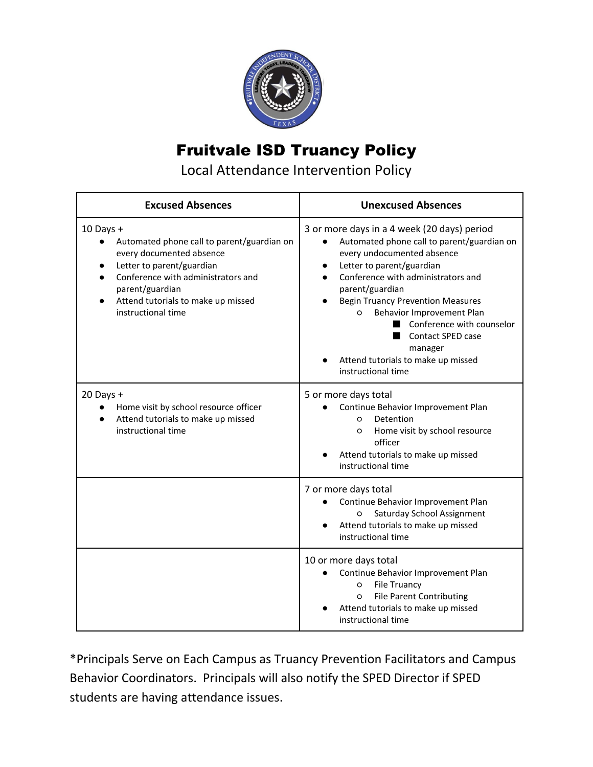

## Fruitvale ISD Truancy Policy

Local Attendance Intervention Policy

| <b>Excused Absences</b>                                                                                                                                                                                                                              | <b>Unexcused Absences</b>                                                                                                                                                                                                                                                                                                                                                                                                                                   |  |
|------------------------------------------------------------------------------------------------------------------------------------------------------------------------------------------------------------------------------------------------------|-------------------------------------------------------------------------------------------------------------------------------------------------------------------------------------------------------------------------------------------------------------------------------------------------------------------------------------------------------------------------------------------------------------------------------------------------------------|--|
| $10$ Days +<br>Automated phone call to parent/guardian on<br>$\bullet$<br>every documented absence<br>Letter to parent/guardian<br>Conference with administrators and<br>parent/guardian<br>Attend tutorials to make up missed<br>instructional time | 3 or more days in a 4 week (20 days) period<br>Automated phone call to parent/guardian on<br>$\bullet$<br>every undocumented absence<br>Letter to parent/guardian<br>$\bullet$<br>Conference with administrators and<br>parent/guardian<br><b>Begin Truancy Prevention Measures</b><br>Behavior Improvement Plan<br>$\circ$<br>Conference with counselor<br><b>Contact SPED case</b><br>manager<br>Attend tutorials to make up missed<br>instructional time |  |
| $20$ Days +<br>Home visit by school resource officer<br>Attend tutorials to make up missed<br>instructional time                                                                                                                                     | 5 or more days total<br>Continue Behavior Improvement Plan<br>Detention<br>$\circ$<br>Home visit by school resource<br>$\circ$<br>officer<br>Attend tutorials to make up missed<br>instructional time                                                                                                                                                                                                                                                       |  |
|                                                                                                                                                                                                                                                      | 7 or more days total<br>Continue Behavior Improvement Plan<br>Saturday School Assignment<br>O<br>Attend tutorials to make up missed<br>instructional time                                                                                                                                                                                                                                                                                                   |  |
|                                                                                                                                                                                                                                                      | 10 or more days total<br>Continue Behavior Improvement Plan<br><b>File Truancy</b><br>O<br><b>File Parent Contributing</b><br>O<br>Attend tutorials to make up missed<br>instructional time                                                                                                                                                                                                                                                                 |  |

\*Principals Serve on Each Campus as Truancy Prevention Facilitators and Campus Behavior Coordinators. Principals will also notify the SPED Director if SPED students are having attendance issues.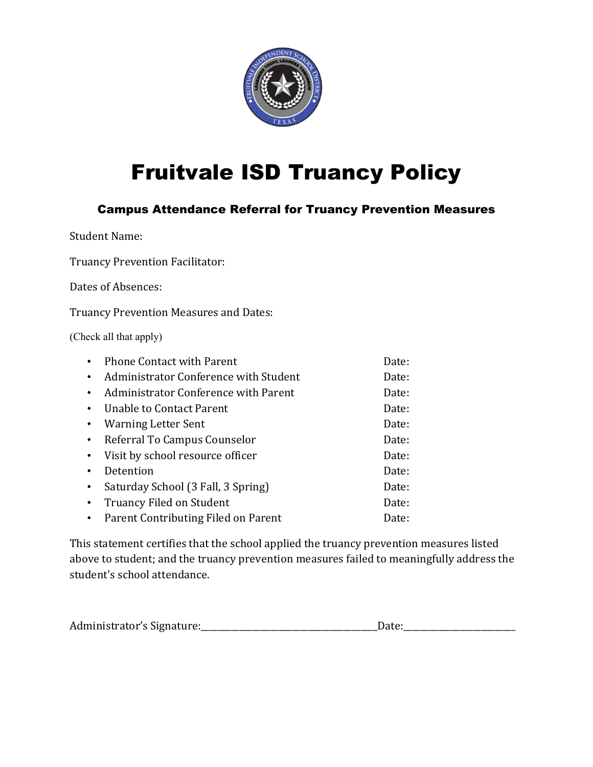

# Fruitvale ISD Truancy Policy

#### Campus Attendance Referral for Truancy Prevention Measures

Student Name:

Truancy Prevention Facilitator:

Dates of Absences:

Truancy Prevention Measures and Dates:

(Check all that apply)

|           | <b>Phone Contact with Parent</b>      | Date: |
|-----------|---------------------------------------|-------|
| $\bullet$ | Administrator Conference with Student | Date: |
| $\bullet$ | Administrator Conference with Parent  | Date: |
| $\bullet$ | Unable to Contact Parent              | Date: |
| $\bullet$ | <b>Warning Letter Sent</b>            | Date: |
| $\bullet$ | Referral To Campus Counselor          | Date: |
| $\bullet$ | Visit by school resource officer      | Date: |
|           | Detention                             | Date: |
| $\bullet$ | Saturday School (3 Fall, 3 Spring)    | Date: |
| $\bullet$ | Truancy Filed on Student              | Date: |
| $\bullet$ | Parent Contributing Filed on Parent   | Date: |
|           |                                       |       |

This statement certifies that the school applied the truancy prevention measures listed above to student; and the truancy prevention measures failed to meaningfully address the student's school attendance.

| Administrator's Signature: |  |
|----------------------------|--|
|                            |  |